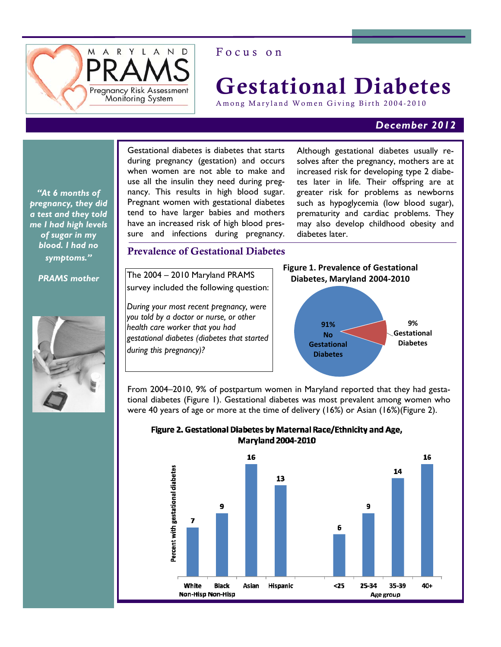

# Focus on

# Gestational Diabetes

Among Maryland Women Giving Birth 2004-2010

# *December 2012*

*"At 6 months of pregnancy, they did a test and they told me I had high levels of sugar in my blood. I had no symptoms."* 

*PRAMS mother* 



Gestational diabetes is diabetes that starts during pregnancy (gestation) and occurs when women are not able to make and use all the insulin they need during pregnancy. This results in high blood sugar. Pregnant women with gestational diabetes tend to have larger babies and mothers have an increased risk of high blood pressure and infections during pregnancy.

Although gestational diabetes usually resolves after the pregnancy, mothers are at increased risk for developing type 2 diabetes later in life. Their offspring are at greater risk for problems as newborns such as hypoglycemia (low blood sugar), prematurity and cardiac problems. They may also develop childhood obesity and diabetes later.

# Prevalence of Gestational Diabetes

The 2004 – 2010 Maryland PRAMS survey included the following question:

*During your most recent pregnancy, were you told by a doctor or nurse, or other health care worker that you had gestational diabetes (diabetes that started during this pregnancy)?* 



From 2004–2010, 9% of postpartum women in Maryland reported that they had gestational diabetes (Figure 1). Gestational diabetes was most prevalent among women who were 40 years of age or more at the time of delivery (16%) or Asian (16%)(Figure 2).



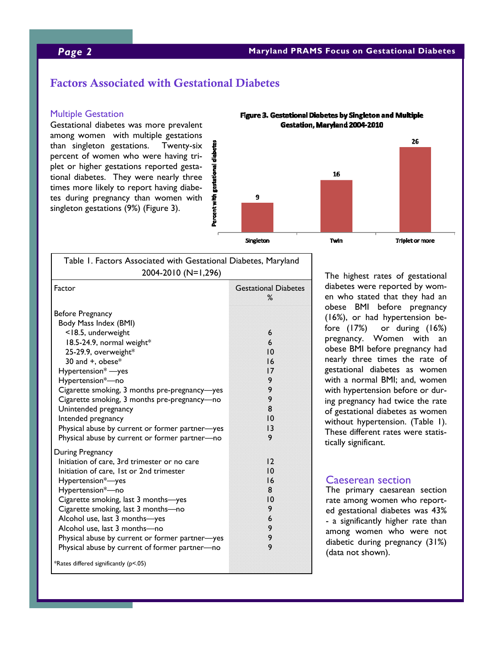# Factors Associated with Gestational Diabetes

#### Multiple Gestation

Gestational diabetes was more prevalent among women with multiple gestations than singleton gestations. Twenty-six percent of women who were having triplet or higher gestations reported gestational diabetes. They were nearly three times more likely to report having diabetes during pregnancy than women with singleton gestations (9%) (Figure 3).



Figure 3. Gestational Diabetes by Singleton and Multiple

| Table 1. Factors Associated with Gestational Diabetes, Maryland                                                                                                                                                                                                                                                                                                                                                                                       |                                                                            |
|-------------------------------------------------------------------------------------------------------------------------------------------------------------------------------------------------------------------------------------------------------------------------------------------------------------------------------------------------------------------------------------------------------------------------------------------------------|----------------------------------------------------------------------------|
| 2004-2010 (N=1,296)                                                                                                                                                                                                                                                                                                                                                                                                                                   |                                                                            |
| Factor                                                                                                                                                                                                                                                                                                                                                                                                                                                | <b>Gestational Diabetes</b><br>℅                                           |
| Before Pregnancy<br>Body Mass Index (BMI)<br><18.5, underweight<br>18.5-24.9, normal weight*<br>25-29.9, overweight*<br>30 and +, obese*<br>Hypertension* - yes<br>Hypertension*-no<br>Cigarette smoking, 3 months pre-pregnancy-yes<br>Cigarette smoking, 3 months pre-pregnancy-no<br>Unintended pregnancy<br>Intended pregnancy<br>Physical abuse by current or former partner-yes<br>Physical abuse by current or former partner-no               | 6<br>6<br>10<br>16<br>17<br>9<br>9<br>9<br>8<br>10<br> 3<br>9              |
| During Pregnancy<br>Initiation of care, 3rd trimester or no care<br>Initiation of care, 1st or 2nd trimester<br>Hypertension*-yes<br>Hypertension*-no<br>Cigarette smoking, last 3 months-yes<br>Cigarette smoking, last 3 months-no<br>Alcohol use, last 3 months-yes<br>Alcohol use, last 3 months-no<br>Physical abuse by current or former partner-yes<br>Physical abuse by current of former partner-no<br>*Rates differed significantly (p<.05) | $\overline{2}$<br>10<br>16<br>8<br>$\overline{0}$<br>9<br>6<br>9<br>9<br>9 |

The highest rates of gestational diabetes were reported by women who stated that they had an obese BMI before pregnancy (16%), or had hypertension before (17%) or during (16%) pregnancy. Women with an obese BMI before pregnancy had nearly three times the rate of gestational diabetes as women with a normal BMI; and, women with hypertension before or during pregnancy had twice the rate of gestational diabetes as women without hypertension. (Table 1). These different rates were statistically significant.

### Caeserean section

The primary caesarean section rate among women who reported gestational diabetes was 43% - a significantly higher rate than among women who were not diabetic during pregnancy (31%) (data not shown).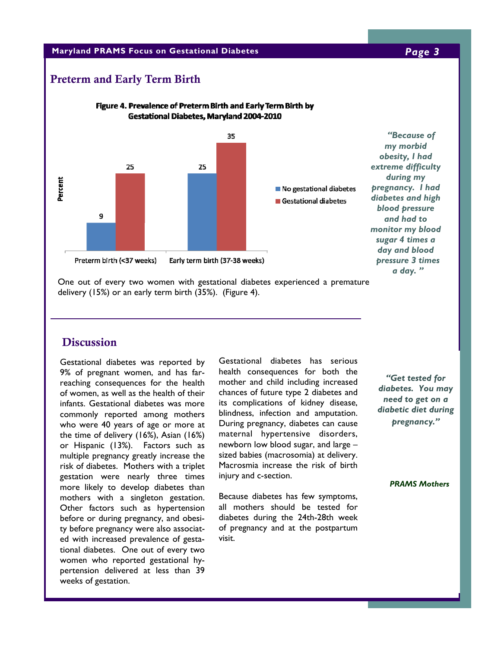### **Maryland PRAMS Focus on Gestational Diabetes** *Page 3*

# Preterm and Early Term Birth



One out of every two women with gestational diabetes experienced a premature delivery (15%) or an early term birth (35%). (Figure 4).

# **Discussion**

Gestational diabetes was reported by 9% of pregnant women, and has farreaching consequences for the health of women, as well as the health of their infants. Gestational diabetes was more commonly reported among mothers who were 40 years of age or more at the time of delivery (16%), Asian (16%) or Hispanic (13%). Factors such as multiple pregnancy greatly increase the risk of diabetes. Mothers with a triplet gestation were nearly three times more likely to develop diabetes than mothers with a singleton gestation. Other factors such as hypertension before or during pregnancy, and obesity before pregnancy were also associated with increased prevalence of gestational diabetes. One out of every two women who reported gestational hypertension delivered at less than 39 weeks of gestation.

Gestational diabetes has serious health consequences for both the mother and child including increased chances of future type 2 diabetes and its complications of kidney disease, blindness, infection and amputation. During pregnancy, diabetes can cause maternal hypertensive disorders, newborn low blood sugar, and large – sized babies (macrosomia) at delivery. Macrosmia increase the risk of birth injury and c-section.

Because diabetes has few symptoms, all mothers should be tested for diabetes during the 24th-28th week of pregnancy and at the postpartum visit.

*"Get tested for diabetes. You may need to get on a diabetic diet during pregnancy."* 

 *PRAMS Mothers*